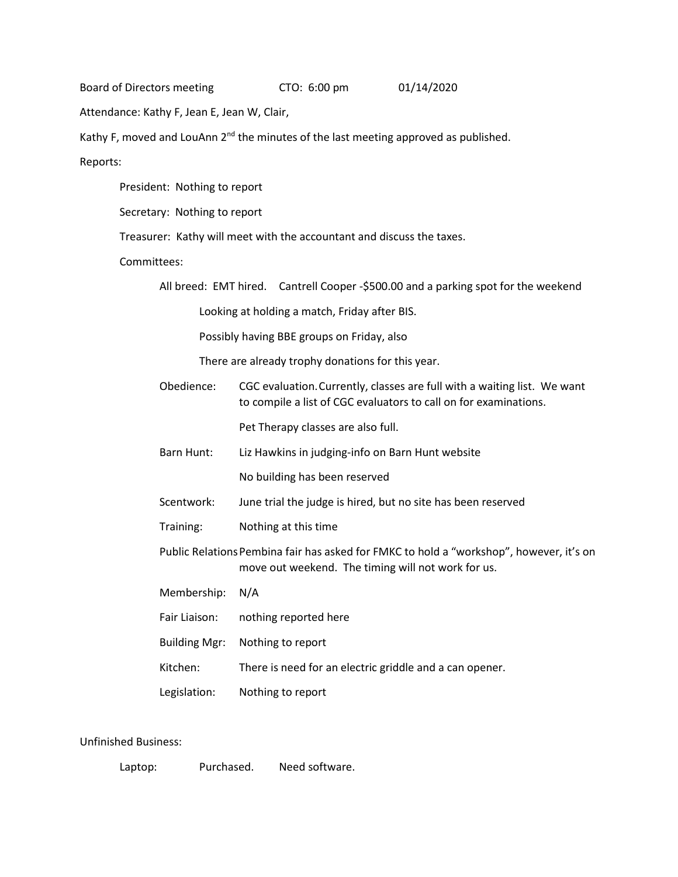Board of Directors meeting CTO: 6:00 pm 01/14/2020

Attendance: Kathy F, Jean E, Jean W, Clair,

Kathy F, moved and LouAnn  $2^{nd}$  the minutes of the last meeting approved as published.

Reports:

President: Nothing to report

Secretary: Nothing to report

Treasurer: Kathy will meet with the accountant and discuss the taxes.

Committees:

All breed: EMT hired. Cantrell Cooper -\$500.00 and a parking spot for the weekend

Looking at holding a match, Friday after BIS.

Possibly having BBE groups on Friday, also

There are already trophy donations for this year.

Obedience: CGC evaluation.Currently, classes are full with a waiting list. We want to compile a list of CGC evaluators to call on for examinations.

Pet Therapy classes are also full.

Barn Hunt: Liz Hawkins in judging-info on Barn Hunt website

No building has been reserved

- Scentwork: June trial the judge is hired, but no site has been reserved
- Training: Nothing at this time
- Public Relations Pembina fair has asked for FMKC to hold a "workshop", however, it's on move out weekend. The timing will not work for us.
- Membership: N/A

Fair Liaison: nothing reported here

Building Mgr: Nothing to report

Kitchen: There is need for an electric griddle and a can opener.

Legislation: Nothing to report

Unfinished Business:

Laptop: Purchased. Need software.